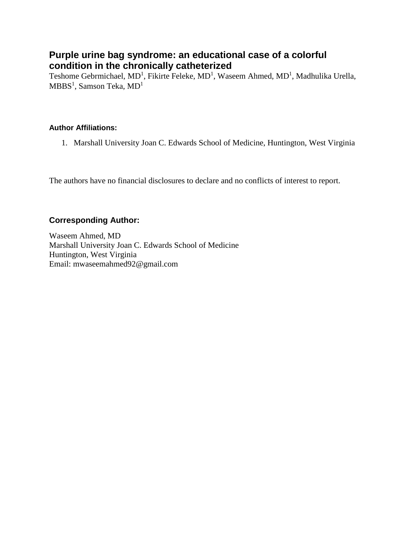# **Purple urine bag syndrome: an educational case of a colorful condition in the chronically catheterized**

Teshome Gebrmichael, MD<sup>1</sup>, Fikirte Feleke, MD<sup>1</sup>, Waseem Ahmed, MD<sup>1</sup>, Madhulika Urella,  $\mathrm{MBBS}^1$ , Samson Teka,  $\mathrm{MD}^1$ 

#### **Author Affiliations:**

1. Marshall University Joan C. Edwards School of Medicine, Huntington, West Virginia

The authors have no financial disclosures to declare and no conflicts of interest to report.

### **Corresponding Author:**

Waseem Ahmed, MD Marshall University Joan C. Edwards School of Medicine Huntington, West Virginia Email: mwaseemahmed92@gmail.com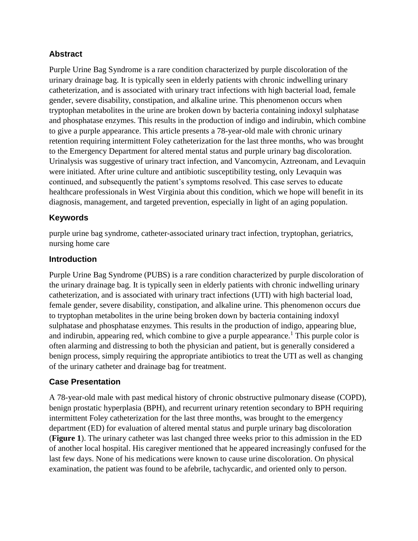# **Abstract**

Purple Urine Bag Syndrome is a rare condition characterized by purple discoloration of the urinary drainage bag. It is typically seen in elderly patients with chronic indwelling urinary catheterization, and is associated with urinary tract infections with high bacterial load, female gender, severe disability, constipation, and alkaline urine. This phenomenon occurs when tryptophan metabolites in the urine are broken down by bacteria containing indoxyl sulphatase and phosphatase enzymes. This results in the production of indigo and indirubin, which combine to give a purple appearance. This article presents a 78-year-old male with chronic urinary retention requiring intermittent Foley catheterization for the last three months, who was brought to the Emergency Department for altered mental status and purple urinary bag discoloration. Urinalysis was suggestive of urinary tract infection, and Vancomycin, Aztreonam, and Levaquin were initiated. After urine culture and antibiotic susceptibility testing, only Levaquin was continued, and subsequently the patient's symptoms resolved. This case serves to educate healthcare professionals in West Virginia about this condition, which we hope will benefit in its diagnosis, management, and targeted prevention, especially in light of an aging population.

### **Keywords**

purple urine bag syndrome, catheter-associated urinary tract infection, tryptophan, geriatrics, nursing home care

### **Introduction**

Purple Urine Bag Syndrome (PUBS) is a rare condition characterized by purple discoloration of the urinary drainage bag. It is typically seen in elderly patients with chronic indwelling urinary catheterization, and is associated with urinary tract infections (UTI) with high bacterial load, female gender, severe disability, constipation, and alkaline urine. This phenomenon occurs due to tryptophan metabolites in the urine being broken down by bacteria containing indoxyl sulphatase and phosphatase enzymes. This results in the production of indigo, appearing blue, and indirubin, appearing red, which combine to give a purple appearance.<sup>1</sup> This purple color is often alarming and distressing to both the physician and patient, but is generally considered a benign process, simply requiring the appropriate antibiotics to treat the UTI as well as changing of the urinary catheter and drainage bag for treatment.

# **Case Presentation**

A 78-year-old male with past medical history of chronic obstructive pulmonary disease (COPD), benign prostatic hyperplasia (BPH), and recurrent urinary retention secondary to BPH requiring intermittent Foley catheterization for the last three months, was brought to the emergency department (ED) for evaluation of altered mental status and purple urinary bag discoloration (**Figure 1**). The urinary catheter was last changed three weeks prior to this admission in the ED of another local hospital. His caregiver mentioned that he appeared increasingly confused for the last few days. None of his medications were known to cause urine discoloration. On physical examination, the patient was found to be afebrile, tachycardic, and oriented only to person.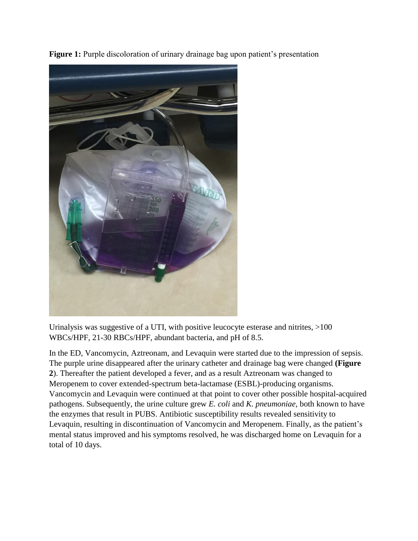**Figure 1:** Purple discoloration of urinary drainage bag upon patient's presentation



Urinalysis was suggestive of a UTI, with positive leucocyte esterase and nitrites, >100 WBCs/HPF, 21-30 RBCs/HPF, abundant bacteria, and pH of 8.5.

In the ED, Vancomycin, Aztreonam, and Levaquin were started due to the impression of sepsis. The purple urine disappeared after the urinary catheter and drainage bag were changed **(Figure 2**). Thereafter the patient developed a fever, and as a result Aztreonam was changed to Meropenem to cover extended-spectrum beta-lactamase (ESBL)-producing organisms. Vancomycin and Levaquin were continued at that point to cover other possible hospital-acquired pathogens. Subsequently, the urine culture grew *E. coli* and *K. pneumoniae*, both known to have the enzymes that result in PUBS. Antibiotic susceptibility results revealed sensitivity to Levaquin, resulting in discontinuation of Vancomycin and Meropenem. Finally, as the patient's mental status improved and his symptoms resolved, he was discharged home on Levaquin for a total of 10 days.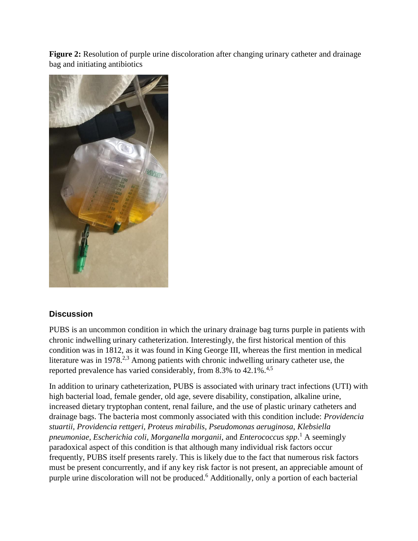**Figure 2:** Resolution of purple urine discoloration after changing urinary catheter and drainage bag and initiating antibiotics



# **Discussion**

PUBS is an uncommon condition in which the urinary drainage bag turns purple in patients with chronic indwelling urinary catheterization. Interestingly, the first historical mention of this condition was in 1812, as it was found in King George III, whereas the first mention in medical literature was in 1978.<sup>2,3</sup> Among patients with chronic indwelling urinary catheter use, the reported prevalence has varied considerably, from 8.3% to 42.1%.<sup>4,5</sup>

In addition to urinary catheterization, PUBS is associated with urinary tract infections (UTI) with high bacterial load, female gender, old age, severe disability, constipation, alkaline urine, increased dietary tryptophan content, renal failure, and the use of plastic urinary catheters and drainage bags. The bacteria most commonly associated with this condition include: *Providencia stuartii, Providencia rettgeri, Proteus mirabilis, Pseudomonas aeruginosa, Klebsiella pneumoniae, Escherichia coli, Morganella morganii*, and *Enterococcus spp*. <sup>1</sup> A seemingly paradoxical aspect of this condition is that although many individual risk factors occur frequently, PUBS itself presents rarely. This is likely due to the fact that numerous risk factors must be present concurrently, and if any key risk factor is not present, an appreciable amount of purple urine discoloration will not be produced.<sup>6</sup> Additionally, only a portion of each bacterial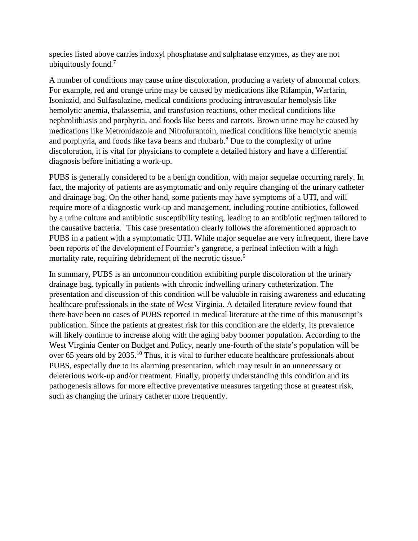species listed above carries indoxyl phosphatase and sulphatase enzymes, as they are not ubiquitously found.<sup>7</sup>

A number of conditions may cause urine discoloration, producing a variety of abnormal colors. For example, red and orange urine may be caused by medications like Rifampin, Warfarin, Isoniazid, and Sulfasalazine, medical conditions producing intravascular hemolysis like hemolytic anemia, thalassemia, and transfusion reactions, other medical conditions like nephrolithiasis and porphyria, and foods like beets and carrots. Brown urine may be caused by medications like Metronidazole and Nitrofurantoin, medical conditions like hemolytic anemia and porphyria, and foods like fava beans and rhubarb.<sup>8</sup> Due to the complexity of urine discoloration, it is vital for physicians to complete a detailed history and have a differential diagnosis before initiating a work-up.

PUBS is generally considered to be a benign condition, with major sequelae occurring rarely. In fact, the majority of patients are asymptomatic and only require changing of the urinary catheter and drainage bag. On the other hand, some patients may have symptoms of a UTI, and will require more of a diagnostic work-up and management, including routine antibiotics, followed by a urine culture and antibiotic susceptibility testing, leading to an antibiotic regimen tailored to the causative bacteria.<sup>1</sup> This case presentation clearly follows the aforementioned approach to PUBS in a patient with a symptomatic UTI. While major sequelae are very infrequent, there have been reports of the development of Fournier's gangrene, a perineal infection with a high mortality rate, requiring debridement of the necrotic tissue.<sup>9</sup>

In summary, PUBS is an uncommon condition exhibiting purple discoloration of the urinary drainage bag, typically in patients with chronic indwelling urinary catheterization. The presentation and discussion of this condition will be valuable in raising awareness and educating healthcare professionals in the state of West Virginia. A detailed literature review found that there have been no cases of PUBS reported in medical literature at the time of this manuscript's publication. Since the patients at greatest risk for this condition are the elderly, its prevalence will likely continue to increase along with the aging baby boomer population. According to the West Virginia Center on Budget and Policy, nearly one-fourth of the state's population will be over 65 years old by 2035.<sup>10</sup> Thus, it is vital to further educate healthcare professionals about PUBS, especially due to its alarming presentation, which may result in an unnecessary or deleterious work-up and/or treatment. Finally, properly understanding this condition and its pathogenesis allows for more effective preventative measures targeting those at greatest risk, such as changing the urinary catheter more frequently.